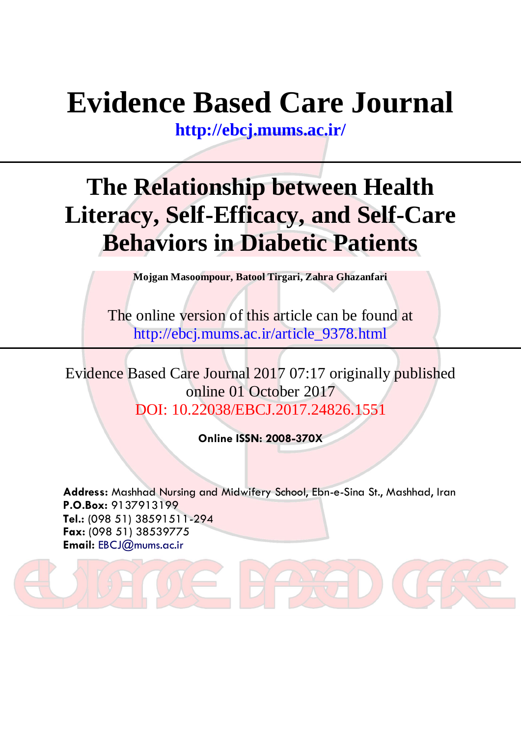# **Evidence Based Care Journal**

**<http://ebcj.mums.ac.ir/>**

## **The Relationship between Health Literacy, Self-Efficacy, and Self-Care Behaviors in Diabetic Patients**

**Mojgan Masoompour, Batool Tirgari, Zahra Ghazanfari**

The online version of this article can be found at http://ebcj.mums.ac.ir/article\_9378.html

Evidence Based Care Journal 2017 07:17 originally published online 01 October 2017 DOI: 10.22038/EBCJ.2017.24826.1551

**Online ISSN: 2008-370X**

**Address:** Mashhad Nursing and Midwifery School, Ebn-e-Sina St., Mashhad, Iran **P.O.Box:** 9137913199 **Tel.:** (098 51) 38591511-294 **Fax:** (098 51) 38539775 **Email:** [EBCJ@mums.ac.ir](mailto:EBCJ@mums.ac.ir)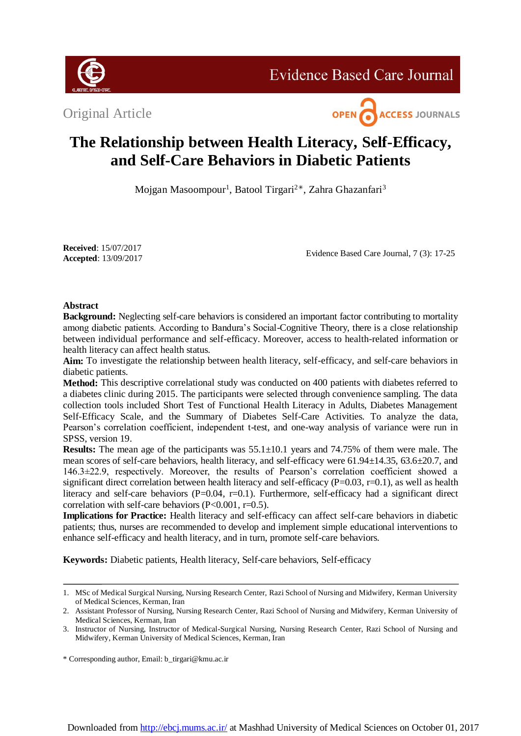

**Evidence Based Care Journal** 

Original Article



### **The Relationship between Health Literacy, Self-Efficacy, and Self-Care Behaviors in Diabetic Patients**

Mojgan Masoompour<sup>1</sup>, Batool Tirgari<sup>2\*</sup>, Zahra Ghazanfari<sup>3</sup>

**Received**: 15/07/2017 **Accepted**: 13/09/2017

Evidence Based Care Journal, 7 (3): 17-25

#### **Abstract**

**Background:** Neglecting self-care behaviors is considered an important factor contributing to mortality among diabetic patients. According to Bandura's Social-Cognitive Theory, there is a close relationship between individual performance and self-efficacy. Moreover, access to health-related information or health literacy can affect health status.

**Aim:** To investigate the relationship between health literacy, self-efficacy, and self-care behaviors in diabetic patients.

**Method:** This descriptive correlational study was conducted on 400 patients with diabetes referred to a diabetes clinic during 2015. The participants were selected through convenience sampling. The data collection tools included Short Test of Functional Health Literacy in Adults, Diabetes Management Self-Efficacy Scale, and the Summary of Diabetes Self-Care Activities. To analyze the data, Pearson's correlation coefficient, independent t-test, and one-way analysis of variance were run in SPSS, version 19.

**Results:** The mean age of the participants was 55.1±10.1 years and 74.75% of them were male. The mean scores of self-care behaviors, health literacy, and self-efficacy were 61.94±14.35, 63.6±20.7, and 146.3±22.9, respectively. Moreover, the results of Pearson's correlation coefficient showed a significant direct correlation between health literacy and self-efficacy  $(P=0.03, r=0.1)$ , as well as health literacy and self-care behaviors (P=0.04, r=0.1). Furthermore, self-efficacy had a significant direct correlation with self-care behaviors  $(P<0.001, r=0.5)$ .

**Implications for Practice:** Health literacy and self-efficacy can affect self-care behaviors in diabetic patients; thus, nurses are recommended to develop and implement simple educational interventions to enhance self-efficacy and health literacy, and in turn, promote self-care behaviors.

**Keywords:** Diabetic patients, Health literacy, Self-care behaviors, Self-efficacy

<sup>1.</sup> MSc of Medical Surgical Nursing, Nursing Research Center, Razi School of Nursing and Midwifery, Kerman University of Medical Sciences, Kerman, Iran

<sup>2.</sup> Assistant Professor of Nursing, Nursing Research Center, Razi School of Nursing and Midwifery, Kerman University of Medical Sciences, Kerman, Iran

<sup>3.</sup> Instructor of Nursing, Instructor of Medical-Surgical Nursing, Nursing Research Center, Razi School of Nursing and Midwifery, Kerman University of Medical Sciences, Kerman, Iran

<sup>\*</sup> Corresponding author, Email: b\_tirgari@kmu.ac.ir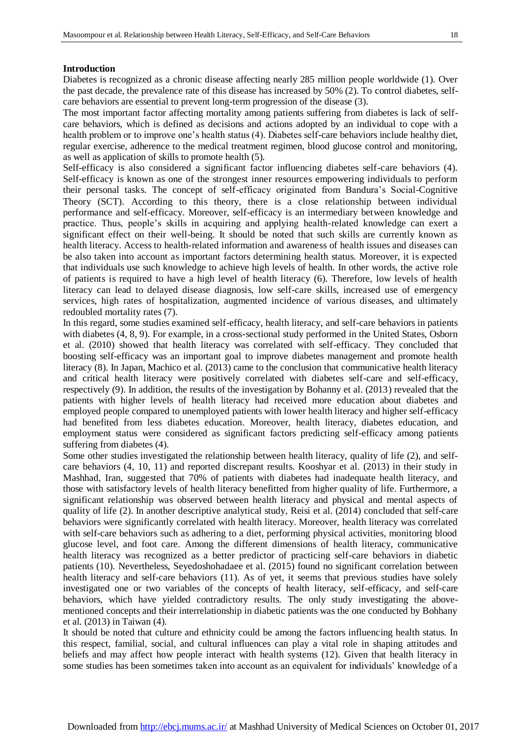#### **Introduction**

Diabetes is recognized as a chronic disease affecting nearly 285 million people worldwide (1). Over the past decade, the prevalence rate of this disease has increased by 50% (2). To control diabetes, selfcare behaviors are essential to prevent long-term progression of the disease (3).

The most important factor affecting mortality among patients suffering from diabetes is lack of selfcare behaviors, which is defined as decisions and actions adopted by an individual to cope with a health problem or to improve one's health status (4). Diabetes self-care behaviors include healthy diet, regular exercise, adherence to the medical treatment regimen, blood glucose control and monitoring, as well as application of skills to promote health (5).

Self-efficacy is also considered a significant factor influencing diabetes self-care behaviors (4). Self-efficacy is known as one of the strongest inner resources empowering individuals to perform their personal tasks. The concept of self-efficacy originated from Bandura's Social-Cognitive Theory (SCT). According to this theory, there is a close relationship between individual performance and self-efficacy. Moreover, self-efficacy is an intermediary between knowledge and practice. Thus, people's skills in acquiring and applying health-related knowledge can exert a significant effect on their well-being. It should be noted that such skills are currently known as health literacy. Access to health-related information and awareness of health issues and diseases can be also taken into account as important factors determining health status. Moreover, it is expected that individuals use such knowledge to achieve high levels of health. In other words, the active role of patients is required to have a high level of health literacy (6). Therefore, low levels of health literacy can lead to delayed disease diagnosis, low self-care skills, increased use of emergency services, high rates of hospitalization, augmented incidence of various diseases, and ultimately redoubled mortality rates (7).

In this regard, some studies examined self-efficacy, health literacy, and self-care behaviors in patients with diabetes (4, 8, 9). For example, in a cross-sectional study performed in the United States, Osborn et al. (2010) showed that health literacy was correlated with self-efficacy. They concluded that boosting self-efficacy was an important goal to improve diabetes management and promote health literacy (8). In Japan, Machico et al. (2013) came to the conclusion that communicative health literacy and critical health literacy were positively correlated with diabetes self-care and self-efficacy, respectively (9). In addition, the results of the investigation by Bohanny et al. (2013) revealed that the patients with higher levels of health literacy had received more education about diabetes and employed people compared to unemployed patients with lower health literacy and higher self-efficacy had benefited from less diabetes education. Moreover, health literacy, diabetes education, and employment status were considered as significant factors predicting self-efficacy among patients suffering from diabetes (4).

Some other studies investigated the relationship between health literacy, quality of life (2), and selfcare behaviors (4, 10, 11) and reported discrepant results. Kooshyar et al. (2013) in their study in Mashhad, Iran, suggested that 70% of patients with diabetes had inadequate health literacy, and those with satisfactory levels of health literacy benefitted from higher quality of life. Furthermore, a significant relationship was observed between health literacy and physical and mental aspects of quality of life (2). In another descriptive analytical study, Reisi et al. (2014) concluded that self-care behaviors were significantly correlated with health literacy. Moreover, health literacy was correlated with self-care behaviors such as adhering to a diet, performing physical activities, monitoring blood glucose level, and foot care. Among the different dimensions of health literacy, communicative health literacy was recognized as a better predictor of practicing self-care behaviors in diabetic patients (10). Nevertheless, Seyedoshohadaee et al. (2015) found no significant correlation between health literacy and self-care behaviors (11). As of yet, it seems that previous studies have solely investigated one or two variables of the concepts of health literacy, self-efficacy, and self-care behaviors, which have yielded contradictory results. The only study investigating the abovementioned concepts and their interrelationship in diabetic patients was the one conducted by Bohhany et al. (2013) in Taiwan (4).

It should be noted that culture and ethnicity could be among the factors influencing health status. In this respect, familial, social, and cultural influences can play a vital role in shaping attitudes and beliefs and may affect how people interact with health systems (12). Given that health literacy in some studies has been sometimes taken into account as an equivalent for individuals' knowledge of a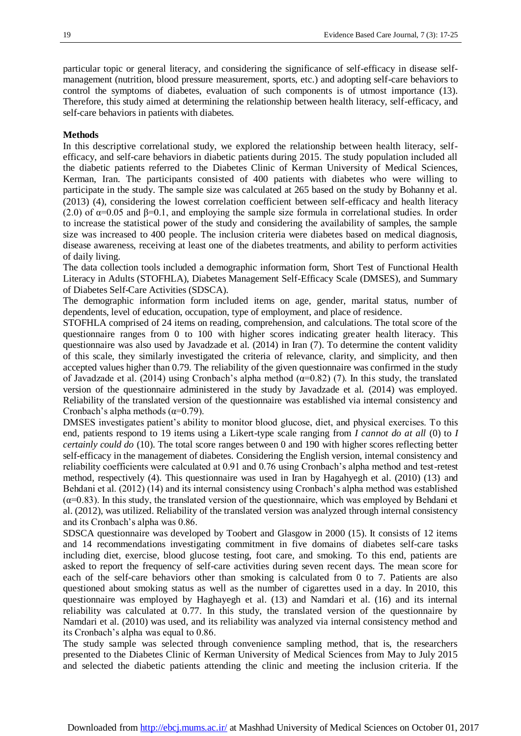particular topic or general literacy, and considering the significance of self-efficacy in disease selfmanagement (nutrition, blood pressure measurement, sports, etc.) and adopting self-care behaviors to control the symptoms of diabetes, evaluation of such components is of utmost importance (13). Therefore, this study aimed at determining the relationship between health literacy, self-efficacy, and self-care behaviors in patients with diabetes.

#### **Methods**

In this descriptive correlational study, we explored the relationship between health literacy, selfefficacy, and self-care behaviors in diabetic patients during 2015. The study population included all the diabetic patients referred to the Diabetes Clinic of Kerman University of Medical Sciences, Kerman, Iran. The participants consisted of 400 patients with diabetes who were willing to participate in the study. The sample size was calculated at 265 based on the study by Bohanny et al. (2013) (4), considering the lowest correlation coefficient between self-efficacy and health literacy (2.0) of  $\alpha$ =0.05 and  $\beta$ =0.1, and employing the sample size formula in correlational studies. In order to increase the statistical power of the study and considering the availability of samples, the sample size was increased to 400 people. The inclusion criteria were diabetes based on medical diagnosis, disease awareness, receiving at least one of the diabetes treatments, and ability to perform activities of daily living.

The data collection tools included a demographic information form, Short Test of Functional Health Literacy in Adults (STOFHLA), Diabetes Management Self-Efficacy Scale (DMSES), and Summary of Diabetes Self-Care Activities (SDSCA).

The demographic information form included items on age, gender, marital status, number of dependents, level of education, occupation, type of employment, and place of residence.

STOFHLA comprised of 24 items on reading, comprehension, and calculations. The total score of the questionnaire ranges from 0 to 100 with higher scores indicating greater health literacy. This questionnaire was also used by Javadzade et al. (2014) in Iran (7). To determine the content validity of this scale, they similarly investigated the criteria of relevance, clarity, and simplicity, and then accepted values higher than 0.79. The reliability of the given questionnaire was confirmed in the study of Javadzade et al. (2014) using Cronbach's alpha method ( $\alpha$ =0.82) (7). In this study, the translated version of the questionnaire administered in the study by Javadzade et al. (2014) was employed. Reliability of the translated version of the questionnaire was established via internal consistency and Cronbach's alpha methods  $(\alpha=0.79)$ .

DMSES investigates patient's ability to monitor blood glucose, diet, and physical exercises. To this end, patients respond to 19 items using a Likert-type scale ranging from *I cannot do at all* (0) to *I certainly could do* (10). The total score ranges between 0 and 190 with higher scores reflecting better self-efficacy in the management of diabetes. Considering the English version, internal consistency and reliability coefficients were calculated at 0.91 and 0.76 using Cronbach's alpha method and test-retest method, respectively (4). This questionnaire was used in Iran by Hagahyegh et al. (2010) (13) and Behdani et al. (2012) (14) and its internal consistency using Cronbach's alpha method was established  $(\alpha=0.83)$ . In this study, the translated version of the questionnaire, which was employed by Behdani et al. (2012), was utilized. Reliability of the translated version was analyzed through internal consistency and its Cronbach's alpha was 0.86.

SDSCA questionnaire was developed by Toobert and Glasgow in 2000 (15). It consists of 12 items and 14 recommendations investigating commitment in five domains of diabetes self-care tasks including diet, exercise, blood glucose testing, foot care, and smoking. To this end, patients are asked to report the frequency of self-care activities during seven recent days. The mean score for each of the self-care behaviors other than smoking is calculated from 0 to 7. Patients are also questioned about smoking status as well as the number of cigarettes used in a day. In 2010, this questionnaire was employed by Haghayegh et al. (13) and Namdari et al. (16) and its internal reliability was calculated at 0.77. In this study, the translated version of the questionnaire by Namdari et al. (2010) was used, and its reliability was analyzed via internal consistency method and its Cronbach's alpha was equal to 0.86.

The study sample was selected through convenience sampling method, that is, the researchers presented to the Diabetes Clinic of Kerman University of Medical Sciences from May to July 2015 and selected the diabetic patients attending the clinic and meeting the inclusion criteria. If the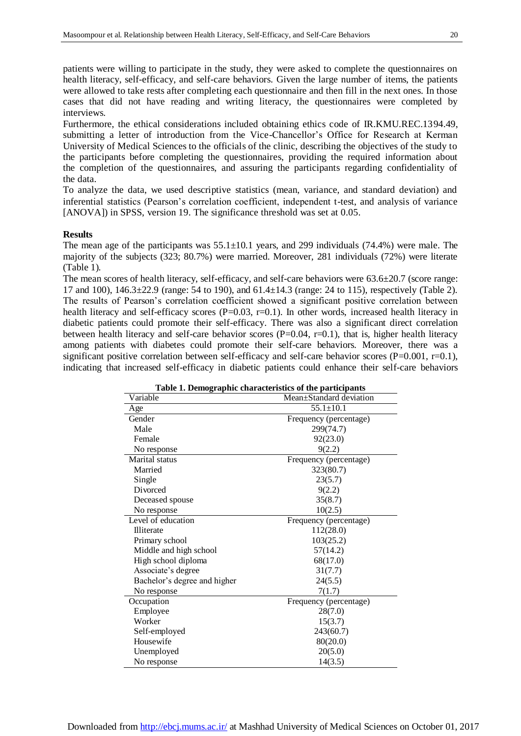patients were willing to participate in the study, they were asked to complete the questionnaires on health literacy, self-efficacy, and self-care behaviors. Given the large number of items, the patients were allowed to take rests after completing each questionnaire and then fill in the next ones. In those cases that did not have reading and writing literacy, the questionnaires were completed by interviews.

Furthermore, the ethical considerations included obtaining ethics code of IR.KMU.REC.1394.49, submitting a letter of introduction from the Vice-Chancellor's Office for Research at Kerman University of Medical Sciences to the officials of the clinic, describing the objectives of the study to the participants before completing the questionnaires, providing the required information about the completion of the questionnaires, and assuring the participants regarding confidentiality of the data.

To analyze the data, we used descriptive statistics (mean, variance, and standard deviation) and inferential statistics (Pearson's correlation coefficient, independent t-test, and analysis of variance [ANOVA]) in SPSS, version 19. The significance threshold was set at 0.05.

#### **Results**

The mean age of the participants was  $55.1 \pm 10.1$  years, and 299 individuals (74.4%) were male. The majority of the subjects (323; 80.7%) were married. Moreover, 281 individuals (72%) were literate (Table 1).

The mean scores of health literacy, self-efficacy, and self-care behaviors were 63.6±20.7 (score range: 17 and 100), 146.3±22.9 (range: 54 to 190), and 61.4±14.3 (range: 24 to 115), respectively (Table 2). The results of Pearson's correlation coefficient showed a significant positive correlation between health literacy and self-efficacy scores  $(P=0.03, r=0.1)$ . In other words, increased health literacy in diabetic patients could promote their self-efficacy. There was also a significant direct correlation between health literacy and self-care behavior scores (P=0.04, r=0.1), that is, higher health literacy among patients with diabetes could promote their self-care behaviors. Moreover, there was a significant positive correlation between self-efficacy and self-care behavior scores (P=0.001, r=0.1), indicating that increased self-efficacy in diabetic patients could enhance their self-care behaviors

| Table 1. Demographic characteristics of the participants |                         |  |  |
|----------------------------------------------------------|-------------------------|--|--|
| Variable                                                 | Mean±Standard deviation |  |  |
| Age                                                      | $55.1 \pm 10.1$         |  |  |
| Gender                                                   | Frequency (percentage)  |  |  |
| Male                                                     | 299(74.7)               |  |  |
| Female                                                   | 92(23.0)                |  |  |
| No response                                              | 9(2.2)                  |  |  |
| Marital status                                           | Frequency (percentage)  |  |  |
| Married                                                  | 323(80.7)               |  |  |
| Single                                                   | 23(5.7)                 |  |  |
| Divorced                                                 | 9(2.2)                  |  |  |
| Deceased spouse                                          | 35(8.7)                 |  |  |
| No response                                              | 10(2.5)                 |  |  |
| Level of education                                       | Frequency (percentage)  |  |  |
| <b>Illiterate</b>                                        | 112(28.0)               |  |  |
| Primary school                                           | 103(25.2)               |  |  |
| Middle and high school                                   | 57(14.2)                |  |  |
| High school diploma                                      | 68(17.0)                |  |  |
| Associate's degree                                       | 31(7.7)                 |  |  |
| Bachelor's degree and higher                             | 24(5.5)                 |  |  |
| No response                                              | 7(1.7)                  |  |  |
| Occupation                                               | Frequency (percentage)  |  |  |
| Employee                                                 | 28(7.0)                 |  |  |
| Worker                                                   | 15(3.7)                 |  |  |
| Self-employed                                            | 243(60.7)               |  |  |
| Housewife                                                | 80(20.0)                |  |  |
| Unemployed                                               | 20(5.0)                 |  |  |
| No response                                              | 14(3.5)                 |  |  |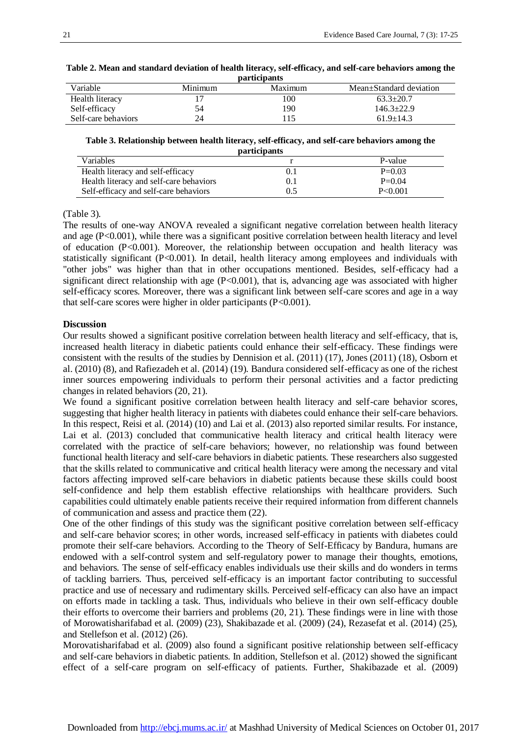**Table 2. Mean and standard deviation of health literacy, self-efficacy, and self-care behaviors among the participants**

| Variable            | Minimum | Maximum | Mean±Standard deviation |  |
|---------------------|---------|---------|-------------------------|--|
| Health literacy     |         | 100     | $63.3 + 20.7$           |  |
| Self-efficacy       | 54      | 190     | $146.3+22.9$            |  |
| Self-care behaviors |         | 115     | $61.9 + 14.3$           |  |
|                     |         |         |                         |  |

**Table 3. Relationship between health literacy, self-efficacy, and self-care behaviors among the participants**

| Variables                               | P-value   |
|-----------------------------------------|-----------|
| Health literacy and self-efficacy       | $P=0.03$  |
| Health literacy and self-care behaviors | $P=0.04$  |
| Self-efficacy and self-care behaviors   | P < 0.001 |

(Table 3).

The results of one-way ANOVA revealed a significant negative correlation between health literacy and age (P<0.001), while there was a significant positive correlation between health literacy and level of education  $(P<0.001)$ . Moreover, the relationship between occupation and health literacy was statistically significant (P<0.001). In detail, health literacy among employees and individuals with "other jobs" was higher than that in other occupations mentioned. Besides, self-efficacy had a significant direct relationship with age (P<0.001), that is, advancing age was associated with higher self-efficacy scores. Moreover, there was a significant link between self-care scores and age in a way that self-care scores were higher in older participants (P<0.001).

#### **Discussion**

Our results showed a significant positive correlation between health literacy and self-efficacy, that is, increased health literacy in diabetic patients could enhance their self-efficacy. These findings were consistent with the results of the studies by Dennision et al. (2011) (17), Jones (2011) (18), Osborn et al. (2010) (8), and Rafiezadeh et al. (2014) (19). Bandura considered self-efficacy as one of the richest inner sources empowering individuals to perform their personal activities and a factor predicting changes in related behaviors (20, 21).

We found a significant positive correlation between health literacy and self-care behavior scores, suggesting that higher health literacy in patients with diabetes could enhance their self-care behaviors. In this respect, Reisi et al. (2014) (10) and Lai et al. (2013) also reported similar results. For instance, Lai et al. (2013) concluded that communicative health literacy and critical health literacy were correlated with the practice of self-care behaviors; however, no relationship was found between functional health literacy and self-care behaviors in diabetic patients. These researchers also suggested that the skills related to communicative and critical health literacy were among the necessary and vital factors affecting improved self-care behaviors in diabetic patients because these skills could boost self-confidence and help them establish effective relationships with healthcare providers. Such capabilities could ultimately enable patients receive their required information from different channels of communication and assess and practice them (22).

One of the other findings of this study was the significant positive correlation between self-efficacy and self-care behavior scores; in other words, increased self-efficacy in patients with diabetes could promote their self-care behaviors. According to the Theory of Self-Efficacy by Bandura, humans are endowed with a self-control system and self-regulatory power to manage their thoughts, emotions, and behaviors. The sense of self-efficacy enables individuals use their skills and do wonders in terms of tackling barriers. Thus, perceived self-efficacy is an important factor contributing to successful practice and use of necessary and rudimentary skills. Perceived self-efficacy can also have an impact on efforts made in tackling a task. Thus, individuals who believe in their own self-efficacy double their efforts to overcome their barriers and problems (20, 21). These findings were in line with those of Morowatisharifabad et al. (2009) (23), Shakibazade et al. (2009) (24), Rezasefat et al. (2014) (25), and Stellefson et al. (2012) (26).

Morovatisharifabad et al. (2009) also found a significant positive relationship between self-efficacy and self-care behaviors in diabetic patients. In addition, Stellefson et al. (2012) showed the significant effect of a self-care program on self-efficacy of patients. Further, Shakibazade et al. (2009)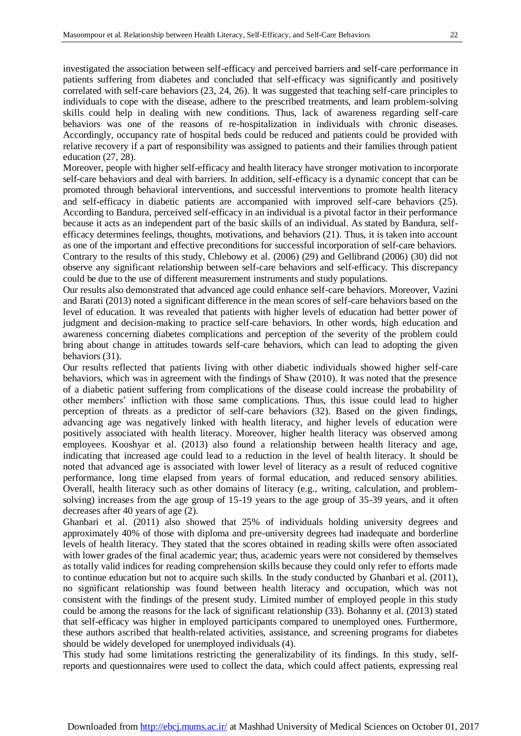investigated the association between self-efficacy and perceived barriers and self-care performance in patients suffering from diabetes and concluded that self-efficacy was significantly and positively correlated with self-care behaviors (23, 24, 26). It was suggested that teaching self-care principles to individuals to cope with the disease, adhere to the prescribed treatments, and learn problem-solving skills could help in dealing with new conditions. Thus, lack of awareness regarding self-care behaviors was one of the reasons of re-hospitalization in individuals with chronic diseases. Accordingly, occupancy rate of hospital beds could be reduced and patients could be provided with relative recovery if a part of responsibility was assigned to patients and their families through patient education (27, 28).

Moreover, people with higher self-efficacy and health literacy have stronger motivation to incorporate self-care behaviors and deal with barriers. In addition, self-efficacy is a dynamic concept that can be promoted through behavioral interventions, and successful interventions to promote health literacy and self-efficacy in diabetic patients are accompanied with improved self-care behaviors (25). According to Bandura, perceived self-efficacy in an individual is a pivotal factor in their performance because it acts as an independent part of the basic skills of an individual. As stated by Bandura, selfefficacy determines feelings, thoughts, motivations, and behaviors (21). Thus, it is taken into account as one of the important and effective preconditions for successful incorporation of self-care behaviors. Contrary to the results of this study, Chlebowy et al. (2006) (29) and Gellibrand (2006) (30) did not observe any significant relationship between self-care behaviors and self-efficacy. This discrepancy could be due to the use of different measurement instruments and study populations.

Our results also demonstrated that advanced age could enhance self-care behaviors. Moreover, Vazini and Barati (2013) noted a significant difference in the mean scores of self-care behaviors based on the level of education. It was revealed that patients with higher levels of education had better power of judgment and decision-making to practice self-care behaviors. In other words, high education and awareness concerning diabetes complications and perception of the severity of the problem could bring about change in attitudes towards self-care behaviors, which can lead to adopting the given behaviors (31).

Our results reflected that patients living with other diabetic individuals showed higher self-care behaviors, which was in agreement with the findings of Shaw (2010). It was noted that the presence of a diabetic patient suffering from complications of the disease could increase the probability of other members' infliction with those same complications. Thus, this issue could lead to higher perception of threats as a predictor of self-care behaviors (32). Based on the given findings, advancing age was negatively linked with health literacy, and higher levels of education were positively associated with health literacy. Moreover, higher health literacy was observed among employees. Kooshyar et al. (2013) also found a relationship between health literacy and age, indicating that increased age could lead to a reduction in the level of health literacy. It should be noted that advanced age is associated with lower level of literacy as a result of reduced cognitive performance, long time elapsed from years of formal education, and reduced sensory abilities. Overall, health literacy such as other domains of literacy (e.g., writing, calculation, and problemsolving) increases from the age group of 15-19 years to the age group of 35-39 years, and it often decreases after 40 years of age (2).

Ghanbari et al. (2011) also showed that 25% of individuals holding university degrees and approximately 40% of those with diploma and pre-university degrees had inadequate and borderline levels of health literacy. They stated that the scores obtained in reading skills were often associated with lower grades of the final academic year; thus, academic years were not considered by themselves as totally valid indices for reading comprehension skills because they could only refer to efforts made to continue education but not to acquire such skills. In the study conducted by Ghanbari et al. (2011), no significant relationship was found between health literacy and occupation, which was not consistent with the findings of the present study. Limited number of employed people in this study could be among the reasons for the lack of significant relationship (33). Bohanny et al. (2013) stated that self-efficacy was higher in employed participants compared to unemployed ones. Furthermore, these authors ascribed that health-related activities, assistance, and screening programs for diabetes should be widely developed for unemployed individuals (4).

This study had some limitations restricting the generalizability of its findings. In this study, selfreports and questionnaires were used to collect the data, which could affect patients, expressing real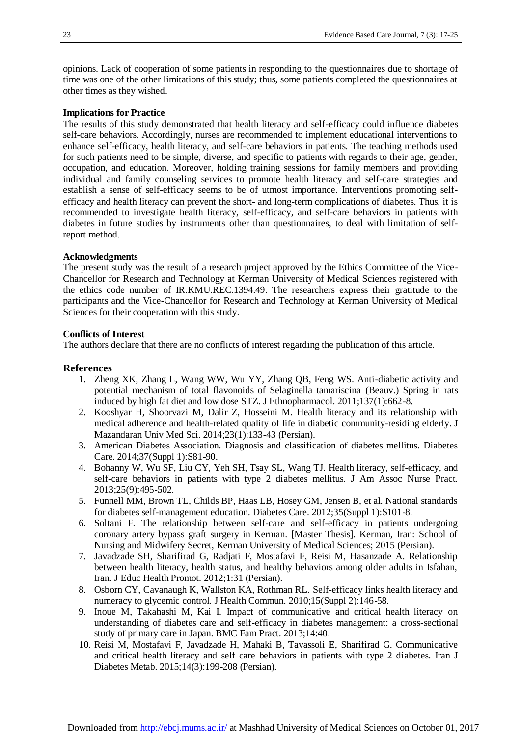opinions. Lack of cooperation of some patients in responding to the questionnaires due to shortage of time was one of the other limitations of this study; thus, some patients completed the questionnaires at other times as they wished.

#### **Implications for Practice**

The results of this study demonstrated that health literacy and self-efficacy could influence diabetes self-care behaviors. Accordingly, nurses are recommended to implement educational interventions to enhance self-efficacy, health literacy, and self-care behaviors in patients. The teaching methods used for such patients need to be simple, diverse, and specific to patients with regards to their age, gender, occupation, and education. Moreover, holding training sessions for family members and providing individual and family counseling services to promote health literacy and self-care strategies and establish a sense of self-efficacy seems to be of utmost importance. Interventions promoting selfefficacy and health literacy can prevent the short- and long-term complications of diabetes. Thus, it is recommended to investigate health literacy, self-efficacy, and self-care behaviors in patients with diabetes in future studies by instruments other than questionnaires, to deal with limitation of selfreport method.

#### **Acknowledgments**

The present study was the result of a research project approved by the Ethics Committee of the Vice-Chancellor for Research and Technology at Kerman University of Medical Sciences registered with the ethics code number of IR.KMU.REC.1394.49. The researchers express their gratitude to the participants and the Vice-Chancellor for Research and Technology at Kerman University of Medical Sciences for their cooperation with this study.

#### **Conflicts of Interest**

The authors declare that there are no conflicts of interest regarding the publication of this article.

#### **References**

- 1. Zheng XK, Zhang L, Wang WW, Wu YY, Zhang QB, Feng WS. Anti-diabetic activity and potential mechanism of total flavonoids of Selaginella tamariscina (Beauv.) Spring in rats induced by high fat diet and low dose STZ. J Ethnopharmacol. 2011;137(1):662-8.
- 2. Kooshyar H, Shoorvazi M, Dalir Z, Hosseini M. Health literacy and its relationship with medical adherence and health-related quality of life in diabetic community-residing elderly. J Mazandaran Univ Med Sci. 2014;23(1):133-43 (Persian).
- 3. American Diabetes Association. Diagnosis and classification of diabetes mellitus. Diabetes Care. 2014;37(Suppl 1):S81-90.
- 4. [Bohanny W,](https://www.ncbi.nlm.nih.gov/pubmed/?term=Bohanny%20W%5BAuthor%5D&cauthor=true&cauthor_uid=24170654) [Wu SF,](https://www.ncbi.nlm.nih.gov/pubmed/?term=Wu%20SF%5BAuthor%5D&cauthor=true&cauthor_uid=24170654) [Liu CY,](https://www.ncbi.nlm.nih.gov/pubmed/?term=Liu%20CY%5BAuthor%5D&cauthor=true&cauthor_uid=24170654) [Yeh SH,](https://www.ncbi.nlm.nih.gov/pubmed/?term=Yeh%20SH%5BAuthor%5D&cauthor=true&cauthor_uid=24170654) [Tsay SL,](https://www.ncbi.nlm.nih.gov/pubmed/?term=Tsay%20SL%5BAuthor%5D&cauthor=true&cauthor_uid=24170654) [Wang TJ.](https://www.ncbi.nlm.nih.gov/pubmed/?term=Wang%20TJ%5BAuthor%5D&cauthor=true&cauthor_uid=24170654) Health literacy, self-efficacy, and self-care behaviors in patients with type 2 diabetes mellitus. J Am Assoc Nurse Pract. 2013;25(9):495-502.
- 5. Funnell MM, Brown TL, Childs BP, Haas LB, Hosey GM, Jensen B, et al. National standards for diabetes self-management education. Diabetes Care. 2012;35(Suppl 1):S101-8.
- 6. Soltani F. The relationship between self-care and self-efficacy in patients undergoing coronary artery bypass graft surgery in Kerman. [Master Thesis]. Kerman, Iran: School of Nursing and Midwifery Secret, Kerman University of Medical Sciences; 2015 (Persian).
- 7. Javadzade SH, Sharifirad G, Radjati F, Mostafavi F, Reisi M, Hasanzade A. Relationship between health literacy, health status, and healthy behaviors among older adults in Isfahan, Iran. J Educ Health Promot. 2012;1:31 (Persian).
- 8. Osborn CY, Cavanaugh K, Wallston KA, Rothman RL. Self-efficacy links health literacy and numeracy to glycemic control. J Health Commun. 2010;15(Suppl 2):146-58.
- 9. Inoue M, Takahashi M, Kai I. Impact of communicative and critical health literacy on understanding of diabetes care and self-efficacy in diabetes management: a cross-sectional study of primary care in Japan. BMC Fam Pract. 2013;14:40.
- 10. Reisi M, Mostafavi F, Javadzade H, Mahaki B, Tavassoli E, Sharifirad G. Communicative and critical health literacy and self care behaviors in patients with type 2 diabetes. Iran J Diabetes Metab. 2015;14(3):199-208 (Persian).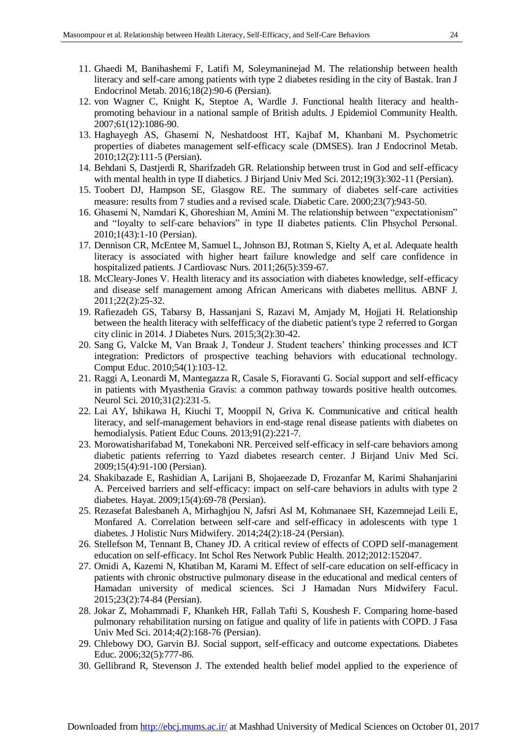- 11. Ghaedi M, Banihashemi F, Latifi M, Soleymaninejad M. The relationship between health literacy and self-care among patients with type 2 diabetes residing in the city of Bastak. Iran J Endocrinol Metab. 2016;18(2):90-6 (Persian).
- 12. von Wagner C, Knight K, Steptoe A, Wardle J. Functional health literacy and healthpromoting behaviour in a national sample of British adults. J Epidemiol Community Health. 2007;61(12):1086-90.
- 13. Haghayegh AS, Ghasemi N, Neshatdoost HT, Kajbaf M, Khanbani M. Psychometric properties of diabetes management self-efficacy scale (DMSES). Iran J Endocrinol Metab. 2010;12(2):111-5 (Persian).
- 14. Behdani S, Dastjerdi R, Sharifzadeh GR. Relationship between trust in God and self-efficacy with mental health in type II diabetics. J Birjand Univ Med Sci. 2012;19(3):302-11 (Persian).
- 15. Toobert DJ, Hampson SE, Glasgow RE. The summary of diabetes self-care activities measure: results from 7 studies and a revised scale. Diabetic Care. 2000;23(7):943-50.
- 16. Ghasemi N, Namdari K, Ghoreshian M, Amini M. The relationship between "expectationism" and "loyalty to self-care behaviors" in type II diabetes patients. Clin Phsychol Personal. 2010;1(43):1-10 (Persian).
- 17. Dennison CR, McEntee M, Samuel L, Johnson BJ, Rotman S, Kielty A, et al. Adequate health literacy is associated with higher heart failure knowledge and self care confidence in hospitalized patients. J Cardiovasc Nurs. 2011;26(5):359-67.
- 18. [McCleary-Jones V.](https://www.ncbi.nlm.nih.gov/pubmed/?term=McCleary-Jones%20V%5BAuthor%5D&cauthor=true&cauthor_uid=21675666) Health literacy and its association with diabetes knowledge, self-efficacy and disease self management among African Americans with diabetes mellitus. ABNF J. 2011;22(2):25-32.
- 19. Rafiezadeh GS, Tabarsy B, Hassanjani S, Razavi M, Amjady M, Hojjati H. Relationship between the health literacy with selfefficacy of the diabetic patient's type 2 referred to Gorgan city clinic in 2014. J Diabetes Nurs. 2015;3(2):30-42.
- 20. Sang G, Valcke M, Van Braak J, Tondeur J. Student teachers' thinking processes and ICT integration: Predictors of prospective teaching behaviors with educational technology. Comput Educ. 2010;54(1):103-12.
- 21. Raggi A, Leonardi M, Mantegazza R, Casale S, Fioravanti G. Social support and self-efficacy in patients with Myasthenia Gravis: a common pathway towards positive health outcomes. Neurol Sci. 2010;31(2):231-5.
- 22. Lai AY, Ishikawa H, Kiuchi T, Mooppil N, Griva K. Communicative and critical health literacy, and self-management behaviors in end-stage renal disease patients with diabetes on hemodialysis. Patient Educ Couns. 2013;91(2):221-7.
- 23. Morowatisharifabad M, Tonekaboni NR. Perceived self-efficacy in self-care behaviors among diabetic patients referring to Yazd diabetes research center. J Birjand Univ Med Sci. 2009;15(4):91-100 (Persian).
- 24. Shakibazade E, Rashidian A, Larijani B, Shojaeezade D, Frozanfar M, Karimi Shahanjarini A. Perceived barriers and self-efficacy: impact on self-care behaviors in adults with type 2 diabetes. Hayat. 2009;15(4):69-78 (Persian).
- 25. Rezasefat Balesbaneh A, Mirhaghjou N, Jafsri Asl M, Kohmanaee SH, Kazemnejad Leili E, Monfared A. Correlation between self-care and self-efficacy in adolescents with type 1 diabetes. J Holistic Nurs Midwifery. 2014;24(2):18-24 (Persian).
- 26. Stellefson M, Tennant B, Chaney JD. A critical review of effects of COPD self-management education on self-efficacy. Int Schol Res Network Public Health. 2012;2012:152047.
- 27. Omidi A, Kazemi N, Khatiban M, Karami M. Effect of self-care education on self-efficacy in patients with chronic obstructive pulmonary disease in the educational and medical centers of Hamadan university of medical sciences. Sci J Hamadan Nurs Midwifery Facul. 2015;23(2):74-84 (Persian).
- 28. Jokar Z, Mohammadi F, Khankeh HR, Fallah Tafti S, Koushesh F. Comparing home-based pulmonary rehabilitation nursing on fatigue and quality of life in patients with COPD. J Fasa Univ Med Sci. 2014;4(2):168-76 (Persian).
- 29. Chlebowy DO, Garvin BJ. Social support, self-efficacy and outcome expectations. Diabetes Educ. 2006;32(5):777-86.
- 30. Gellibrand R, Stevenson J. The extended health belief model applied to the experience of